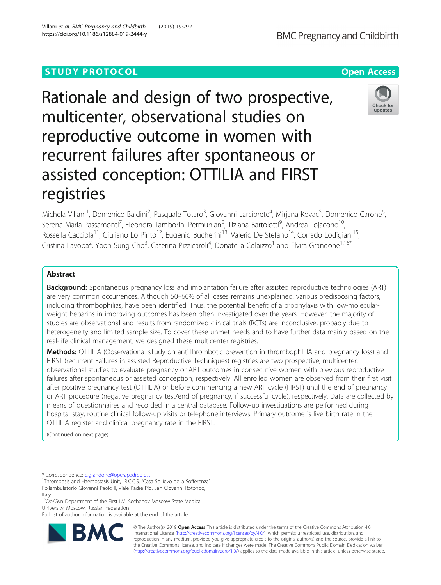# **STUDY PROTOCOL CONSUMING THE CONSUMING OPEN ACCESS**

Rationale and design of two prospective, multicenter, observational studies on reproductive outcome in women with recurrent failures after spontaneous or assisted conception: OTTILIA and FIRST registries

Michela Villani<sup>1</sup>, Domenico Baldini<sup>2</sup>, Pasquale Totaro<sup>3</sup>, Giovanni Larciprete<sup>4</sup>, Mirjana Kovac<sup>5</sup>, Domenico Carone<sup>6</sup> י<br>, Serena Maria Passamonti<sup>7</sup>, Eleonora Tamborini Permunian<sup>8</sup>, Tiziana Bartolotti<sup>9</sup>, Andrea Lojacono<sup>10</sup>, Rossella Cacciola<sup>11</sup>, Giuliano Lo Pinto<sup>12</sup>, Eugenio Bucherini<sup>13</sup>, Valerio De Stefano<sup>14</sup>, Corrado Lodigiani<sup>15</sup> Cristina Lavopa<sup>2</sup>, Yoon Sung Cho<sup>3</sup>, Caterina Pizzicaroli<sup>4</sup>, Donatella Colaizzo<sup>1</sup> and Elvira Grandone<sup>1,16\*</sup>

# Abstract

**Background:** Spontaneous pregnancy loss and implantation failure after assisted reproductive technologies (ART) are very common occurrences. Although 50–60% of all cases remains unexplained, various predisposing factors, including thrombophilias, have been identified. Thus, the potential benefit of a prophylaxis with low-molecularweight heparins in improving outcomes has been often investigated over the years. However, the majority of studies are observational and results from randomized clinical trials (RCTs) are inconclusive, probably due to heterogeneity and limited sample size. To cover these unmet needs and to have further data mainly based on the real-life clinical management, we designed these multicenter registries.

Methods: OTTILIA (Observational sTudy on antiThrombotic prevention in thrombophILIA and pregnancy loss) and FIRST (recurrent Failures in assIsted Reproductive Techniques) registries are two prospective, multicenter, observational studies to evaluate pregnancy or ART outcomes in consecutive women with previous reproductive failures after spontaneous or assisted conception, respectively. All enrolled women are observed from their first visit after positive pregnancy test (OTTILIA) or before commencing a new ART cycle (FIRST) until the end of pregnancy or ART procedure (negative pregnancy test/end of pregnancy, if successful cycle), respectively. Data are collected by means of questionnaires and recorded in a central database. Follow-up investigations are performed during hospital stay, routine clinical follow-up visits or telephone interviews. Primary outcome is live birth rate in the OTTILIA register and clinical pregnancy rate in the FIRST.

(Continued on next page)

\* Correspondence: [e.grandone@operapadrepio.it](mailto:e.grandone@operapadrepio.it) <sup>1</sup>

<sup>16</sup>Ob/Gyn Department of the First I.M. Sechenov Moscow State Medical University, Moscow, Russian Federation

Full list of author information is available at the end of the article





**BMC Pregnancy and Childbirth** 



<sup>&</sup>lt;sup>1</sup>Thrombosis and Haemostasis Unit, I.R.C.C.S. "Casa Sollievo della Sofferenza" Poliambulatorio Giovanni Paolo II, Viale Padre Pio, San Giovanni Rotondo, Italy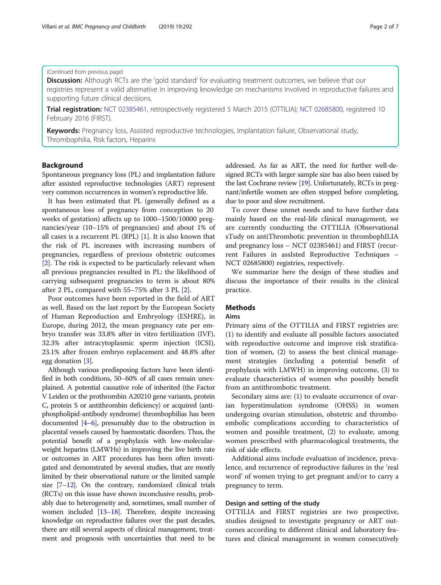## (Continued from previous page)

**Discussion:** Although RCTs are the 'gold standard' for evaluating treatment outcomes, we believe that our registries represent a valid alternative in improving knowledge on mechanisms involved in reproductive failures and supporting future clinical decisions.

Trial registration: [NCT 02385461](https://clinicaltrials.gov/ct2/show/NCT02385461), retrospectively registered 5 March 2015 (OTTILIA); [NCT 02685800](https://clinicaltrials.gov/ct2/show/NCT02685800), registered 10 February 2016 (FIRST).

Keywords: Pregnancy loss, Assisted reproductive technologies, Implantation failure, Observational study, Thrombophilia, Risk factors, Heparins

# Background

Spontaneous pregnancy loss (PL) and implantation failure after assisted reproductive technologies (ART) represent very common occurrences in women's reproductive life.

It has been estimated that PL (generally defined as a spontaneous loss of pregnancy from conception to 20 weeks of gestation) affects up to 1000–1500/10000 pregnancies/year (10–15% of pregnancies) and about 1% of all cases is a recurrent PL (RPL) [[1](#page-5-0)]. It is also known that the risk of PL increases with increasing numbers of pregnancies, regardless of previous obstetric outcomes [[2\]](#page-5-0). The risk is expected to be particularly relevant when all previous pregnancies resulted in PL: the likelihood of carrying subsequent pregnancies to term is about 80% after 2 PL, compared with 55–75% after 3 PL [\[2](#page-5-0)].

Poor outcomes have been reported in the field of ART as well. Based on the last report by the European Society of Human Reproduction and Embryology (ESHRE), in Europe, during 2012, the mean pregnancy rate per embryo transfer was 33.8% after in vitro fertilization (IVF), 32.3% after intracytoplasmic sperm injection (ICSI), 23.1% after frozen embryo replacement and 48.8% after egg donation [[3\]](#page-5-0).

Although various predisposing factors have been identified in both conditions, 50–60% of all cases remain unexplained. A potential causative role of inherited (the Factor V Leiden or the prothrombin A20210 gene variants, protein C, protein S or antithrombin deficiency) or acquired (antiphospholipid-antibody syndrome) thrombophilias has been documented  $[4-6]$  $[4-6]$  $[4-6]$  $[4-6]$  $[4-6]$ , presumably due to the obstruction in placental vessels caused by haemostatic disorders. Thus, the potential benefit of a prophylaxis with low-molecularweight heparins (LMWHs) in improving the live birth rate or outcomes in ART procedures has been often investigated and demonstrated by several studies, that are mostly limited by their observational nature or the limited sample size  $[7-12]$  $[7-12]$  $[7-12]$  $[7-12]$ . On the contrary, randomized clinical trials (RCTs) on this issue have shown inconclusive results, probably due to heterogeneity and, sometimes, small number of women included [[13](#page-6-0)–[18](#page-6-0)]. Therefore, despite increasing knowledge on reproductive failures over the past decades, there are still several aspects of clinical management, treatment and prognosis with uncertainties that need to be

addressed. As far as ART, the need for further well-designed RCTs with larger sample size has also been raised by the last Cochrane review [[19](#page-6-0)]. Unfortunately, RCTs in pregnant/infertile women are often stopped before completing, due to poor and slow recruitment.

To cover these unmet needs and to have further data mainly based on the real-life clinical management, we are currently conducting the OTTILIA (Observational sTudy on antiThrombotic prevention in thrombophILIA and pregnancy loss – NCT 02385461) and FIRST (recurrent Failures in assIsted Reproductive Techniques – NCT 02685800) registries, respectively.

We summarize here the design of these studies and discuss the importance of their results in the clinical practice.

# Methods

# Aims

Primary aims of the OTTILIA and FIRST registries are: (1) to identify and evaluate all possible factors associated with reproductive outcome and improve risk stratification of women, (2) to assess the best clinical management strategies (including a potential benefit of prophylaxis with LMWH) in improving outcome, (3) to evaluate characteristics of women who possibly benefit from an antithrombotic treatment.

Secondary aims are: (1) to evaluate occurrence of ovarian hyperstimulation syndrome (OHSS) in women undergoing ovarian stimulation, obstetric and thromboembolic complications according to characteristics of women and possible treatment, (2) to evaluate, among women prescribed with pharmacological treatments, the risk of side effects.

Additional aims include evaluation of incidence, prevalence, and recurrence of reproductive failures in the 'real word' of women trying to get pregnant and/or to carry a pregnancy to term.

# Design and setting of the study

OTTILIA and FIRST registries are two prospective, studies designed to investigate pregnancy or ART outcomes according to different clinical and laboratory features and clinical management in women consecutively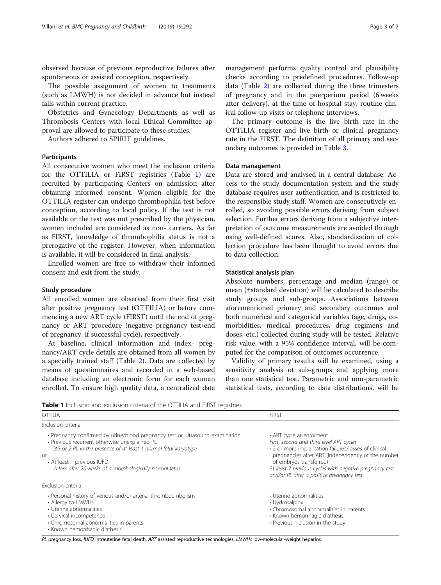observed because of previous reproductive failures after spontaneous or assisted conception, respectively.

The possible assignment of women to treatments (such as LMWH) is not decided in advance but instead falls within current practice.

Obstetrics and Gynecology Departments as well as Thrombosis Centers with local Ethical Committee approval are allowed to participate to these studies.

Authors adhered to SPIRIT guidelines.

### Participants

All consecutive women who meet the inclusion criteria for the OTTILIA or FIRST registries (Table 1) are recruited by participating Centers on admission after obtaining informed consent. Women eligible for the OTTILIA register can undergo thrombophilia test before conception, according to local policy. If the test is not available or the test was not prescribed by the physician, women included are considered as non- carriers. As far as FIRST, knowledge of thrombophilia status is not a prerogative of the register. However, when information is available, it will be considered in final analysis.

Enrolled women are free to withdraw their informed consent and exit from the study.

### Study procedure

All enrolled women are observed from their first visit after positive pregnancy test (OTTILIA) or before commencing a new ART cycle (FIRST) until the end of pregnancy or ART procedure (negative pregnancy test/end of pregnancy, if successful cycle), respectively.

At baseline, clinical information and index- pregnancy/ART cycle details are obtained from all women by a specially trained staff (Table [2](#page-3-0)). Data are collected by means of questionnaires and recorded in a web-based database including an electronic form for each woman enrolled. To ensure high quality data, a centralized data management performs quality control and plausibility checks according to predefined procedures. Follow-up data (Table [2](#page-3-0)) are collected during the three trimesters of pregnancy and in the puerperium period (6 weeks after delivery), at the time of hospital stay, routine clinical follow-up visits or telephone interviews.

The primary outcome is the live birth rate in the OTTILIA register and live birth or clinical pregnancy rate in the FIRST. The definition of all primary and secondary outcomes is provided in Table [3](#page-4-0).

### Data management

Data are stored and analysed in a central database. Access to the study documentation system and the study database requires user authentication and is restricted to the responsible study staff. Women are consecutively enrolled, so avoiding possible errors deriving from subject selection. Further errors deriving from a subjective interpretation of outcome measurements are avoided through using well-defined scores. Also, standardization of collection procedure has been thought to avoid errors due to data collection.

### Statistical analysis plan

Absolute numbers, percentage and median (range) or mean (±standard deviation) will be calculated to describe study groups and sub-groups. Associations between aforementioned primary and secondary outcomes and both numerical and categorical variables (age, drugs, comorbidities, medical procedures, drug regimens and doses, etc.) collected during study will be tested. Relative risk value, with a 95% confidence interval, will be computed for the comparison of outcomes occurrence.

Validity of primary results will be examined, using a sensitivity analysis of sub-groups and applying more than one statistical test. Parametric and non-parametric statistical tests, according to data distributions, will be

Table 1 Inclusion and exclusion criteria of the OTTILIA and FIRST registries

| <b>OTTILIA</b>                                                                                                                                                                                                                                                                                                | <b>FIRST</b>                                                                                                                                                                                                                                                                                                          |
|---------------------------------------------------------------------------------------------------------------------------------------------------------------------------------------------------------------------------------------------------------------------------------------------------------------|-----------------------------------------------------------------------------------------------------------------------------------------------------------------------------------------------------------------------------------------------------------------------------------------------------------------------|
| Inclusion criteria                                                                                                                                                                                                                                                                                            |                                                                                                                                                                                                                                                                                                                       |
| • Pregnancy confirmed by urine/blood pregnancy test or ultrasound examination<br>• Previous recurrent otherwise unexplained PL<br>$\geq$ 3 or 2 PL in the presence of at least 1 normal fetal karyotype<br><b>or</b><br>• At least 1 previous IUFD<br>A loss after 20 weeks of a morphologically normal fetus | • ART cycle at enrolment<br>First, second and third level ART cycles<br>• 2 or more implantation failures/losses of clinical<br>pregnancies after ART (independently of the number<br>of embryos transferred)<br>At least 2 previous cycles with negative pregnancy test<br>and/or PL after a positive pregnancy test |
| Exclusion criteria                                                                                                                                                                                                                                                                                            |                                                                                                                                                                                                                                                                                                                       |
| • Personal history of venous and/or arterial thromboembolism<br>• Allergy to LMWHs<br>• Uterine abnormalities<br>• Cervical incompetence<br>• Chromosomal abnormalities in parents<br>• Known hemorrhagic diathesis                                                                                           | • Uterine abnormalities<br>• Hydrosalpinx<br>• Chromosomal abnormalities in parents<br>• Known hemorrhagic diathesis<br>• Previous inclusion in the study                                                                                                                                                             |

PL pregnancy loss, IUFD intrauterine fetal death, ART assisted reproductive technologies, LMWHs low-molecular-weight heparins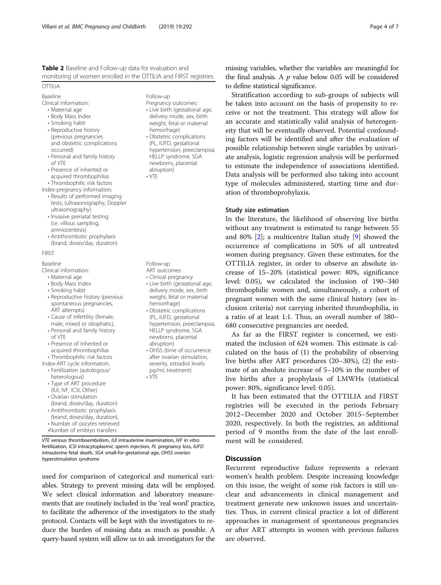<span id="page-3-0"></span>

| Table 2 Baseline and Follow-up data for evaluation and           |
|------------------------------------------------------------------|
| monitoring of women enrolled in the OTTILIA and FIRST registries |

| Follow-up<br>Pregnancy outcomes:<br>· Live birth (gestational age,<br>delivery mode, sex, birth<br>weight, fetal or maternal<br>hemorrhage)<br>· Obstetric complications<br>(PL, IUFD, gestational<br>hypertension, preeclampsia,<br>HELLP syndrome, SGA<br>newborns, placental<br>abruption)<br>$\cdot$ VTE                                                                                                                                  |
|-----------------------------------------------------------------------------------------------------------------------------------------------------------------------------------------------------------------------------------------------------------------------------------------------------------------------------------------------------------------------------------------------------------------------------------------------|
|                                                                                                                                                                                                                                                                                                                                                                                                                                               |
| Follow-up<br>ART outcomes:<br>· Clinical pregnancy<br>· Live birth (gestational age,<br>delivery mode, sex, birth<br>weight, fetal or maternal<br>hemorrhage)<br>· Obstetric complications<br>(PL, IUFD, gestational<br>hypertension, preeclampsia,<br>HELLP syndrome, SGA<br>newborns, placental<br>abruption)<br>• OHSS (time of occurrence<br>after ovarian stimulation,<br>severity, estradiol levels<br>pg/ml, treatment)<br>$\cdot$ VTF |
|                                                                                                                                                                                                                                                                                                                                                                                                                                               |

VTE venous thromboembolism, IUI intrauterine insemination, IVF in vitro fertilization, ICSI intracytoplasmic sperm injection, PL pregnancy loss, IUFD intrauterine fetal death, SGA small-for-gestational age, OHSS ovarian hyperstimulation syndrome

used for comparison of categorical and numerical variables. Strategy to prevent missing data will be employed. We select clinical information and laboratory measurements that are routinely included in the 'real word' practice, to facilitate the adherence of the investigators to the study protocol. Contacts will be kept with the investigators to reduce the burden of missing data as much as possible. A query-based system will allow us to ask investigators for the missing variables, whether the variables are meaningful for the final analysis. A  $p$  value below 0.05 will be considered to define statistical significance.

Stratification according to sub-groups of subjects will be taken into account on the basis of propensity to receive or not the treatment. This strategy will allow for an accurate and statistically valid analysis of heterogeneity that will be eventually observed. Potential confounding factors will be identified and after the evaluation of possible relationship between single variables by univariate analysis, logistic regression analysis will be performed to estimate the independence of associations identified. Data analysis will be performed also taking into account type of molecules administered, starting time and duration of thromboprohylaxis.

### Study size estimation

In the literature, the likelihood of observing live births without any treatment is estimated to range between 55 and 80% [\[2](#page-5-0)]; a multicentre Italian study [\[9](#page-6-0)] showed the occurrence of complications in 50% of all untreated women during pregnancy. Given these estimates, for the OTTILIA register, in order to observe an absolute increase of 15–20% (statistical power: 80%, significance level: 0.05), we calculated the inclusion of 190–340 thrombophilic women and, simultaneously, a cohort of pregnant women with the same clinical history (see inclusion criteria) not carrying inherited thrombophilia, in a ratio of at least 1:1. Thus, an overall number of 380– 680 consecutive pregnancies are needed.

As far as the FIRST register is concerned, we estimated the inclusion of 624 women. This estimate is calculated on the basis of (1) the probability of observing live births after ART procedures (20–30%), (2) the estimate of an absolute increase of 5–10% in the number of live births after a prophylaxis of LMWHs (statistical power: 80%, significance level: 0.05).

It has been estimated that the OTTILIA and FIRST registries will be executed in the periods February 2012–December 2020 and October 2015–September 2020, respectively. In both the registries, an additional period of 9 months from the date of the last enrollment will be considered.

# **Discussion**

Recurrent reproductive failure represents a relevant women's health problem. Despite increasing knowledge on this issue, the weight of some risk factors is still unclear and advancements in clinical management and treatment generate new unknown issues and uncertainties. Thus, in current clinical practice a lot of different approaches in management of spontaneous pregnancies or after ART attempts in women with previous failures are observed.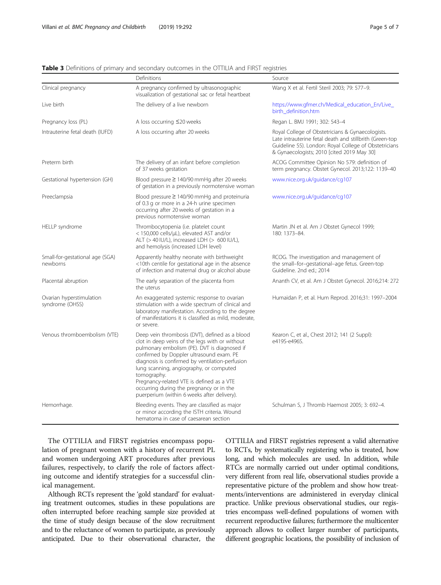|                                             | Definitions                                                                                                                                                                                                                                                                                                                                                                                                                                       | Source                                                                                                                                                                                                             |
|---------------------------------------------|---------------------------------------------------------------------------------------------------------------------------------------------------------------------------------------------------------------------------------------------------------------------------------------------------------------------------------------------------------------------------------------------------------------------------------------------------|--------------------------------------------------------------------------------------------------------------------------------------------------------------------------------------------------------------------|
| Clinical pregnancy                          | A pregnancy confirmed by ultrasonographic<br>visualization of gestational sac or fetal heartbeat                                                                                                                                                                                                                                                                                                                                                  | Wang X et al. Fertil Steril 2003; 79: 577-9.                                                                                                                                                                       |
| Live birth                                  | The delivery of a live newborn                                                                                                                                                                                                                                                                                                                                                                                                                    | https://www.gfmer.ch/Medical_education_En/Live_<br>birth definition.htm                                                                                                                                            |
| Pregnancy loss (PL)                         | A loss occurring ≤20 weeks                                                                                                                                                                                                                                                                                                                                                                                                                        | Regan L. BMJ 1991; 302: 543-4                                                                                                                                                                                      |
| Intrauterine fetal death (IUFD)             | A loss occurring after 20 weeks                                                                                                                                                                                                                                                                                                                                                                                                                   | Royal College of Obstetricians & Gynaecologists.<br>Late intrauterine fetal death and stillbrith (Green-top<br>Guideline 55). London: Royal College of Obstetricians<br>& Gynaecologists; 2010 [cited 2019 May 30] |
| Preterm birth                               | The delivery of an infant before completion<br>of 37 weeks gestation                                                                                                                                                                                                                                                                                                                                                                              | ACOG Committee Opinion No 579: definition of<br>term pregnancy. Obstet Gynecol. 2013;122: 1139-40                                                                                                                  |
| Gestational hypertension (GH)               | Blood pressure $\geq$ 140/90 mmHg after 20 weeks<br>of gestation in a previously normotensive woman                                                                                                                                                                                                                                                                                                                                               | www.nice.org.uk/guidance/cg107                                                                                                                                                                                     |
| Preeclampsia                                | Blood pressure $\geq$ 140/90 mmHg and proteinuria<br>of 0.3 g or more in a 24-h urine specimen<br>occurring after 20 weeks of gestation in a<br>previous normotensive woman                                                                                                                                                                                                                                                                       | www.nice.org.uk/guidance/cg107                                                                                                                                                                                     |
| HELLP syndrome                              | Thrombocytopenia (i.e. platelet count<br>< 150,000 cells/µL), elevated AST and/or<br>ALT (> 40 IU/L), increased LDH (> 600 IU/L),<br>and hemolysis (increased LDH level)                                                                                                                                                                                                                                                                          | Martin JN et al. Am J Obstet Gynecol 1999;<br>180: 1373-84.                                                                                                                                                        |
| Small-for-gestational age (SGA)<br>newborns | Apparently healthy neonate with birthweight<br><10th centile for gestational age in the absence<br>of infection and maternal drug or alcohol abuse                                                                                                                                                                                                                                                                                                | RCOG. The investigation and management of<br>the small-for-gestational-age fetus. Green-top<br>Guideline. 2nd ed.; 2014                                                                                            |
| Placental abruption                         | The early separation of the placenta from<br>the uterus                                                                                                                                                                                                                                                                                                                                                                                           | Ananth CV, et al. Am J Obstet Gynecol. 2016;214: 272                                                                                                                                                               |
| Ovarian hyperstimulation<br>syndrome (OHSS) | An exaggerated systemic response to ovarian<br>stimulation with a wide spectrum of clinical and<br>laboratory manifestation. According to the degree<br>of manifestations it is classified as mild, moderate,<br>or severe.                                                                                                                                                                                                                       | Humaidan P, et al. Hum Reprod. 2016;31: 1997-2004                                                                                                                                                                  |
| Venous thromboembolism (VTE)                | Deep vein thrombosis (DVT), defined as a blood<br>clot in deep veins of the legs with or without<br>pulmonary embolism (PE). DVT is diagnosed if<br>confirmed by Doppler ultrasound exam. PE<br>diagnosis is confirmed by ventilation-perfusion<br>lung scanning, angiography, or computed<br>tomography.<br>Pregnancy-related VTE is defined as a VTE<br>occurring during the pregnancy or in the<br>puerperium (within 6 weeks after delivery). | Kearon C, et al., Chest 2012; 141 (2 Suppl):<br>e419S-e496S.                                                                                                                                                       |
| Hemorrhage.                                 | Bleeding events. They are classified as major<br>or minor according the ISTH criteria. Wound<br>hematoma in case of caesarean section                                                                                                                                                                                                                                                                                                             | Schulman S, J Thromb Haemost 2005; 3: 692-4.                                                                                                                                                                       |

<span id="page-4-0"></span>Table 3 Definitions of primary and secondary outcomes in the OTTILIA and FIRST registries

The OTTILIA and FIRST registries encompass population of pregnant women with a history of recurrent PL and women undergoing ART procedures after previous failures, respectively, to clarify the role of factors affecting outcome and identify strategies for a successful clinical management.

Although RCTs represent the 'gold standard' for evaluating treatment outcomes, studies in these populations are often interrupted before reaching sample size provided at the time of study design because of the slow recruitment and to the reluctance of women to participate, as previously anticipated. Due to their observational character, the OTTILIA and FIRST registries represent a valid alternative to RCTs, by systematically registering who is treated, how long, and which molecules are used. In addition, while RTCs are normally carried out under optimal conditions, very different from real life, observational studies provide a representative picture of the problem and show how treatments/interventions are administered in everyday clinical practice. Unlike previous observational studies, our registries encompass well-defined populations of women with recurrent reproductive failures; furthermore the multicenter approach allows to collect larger number of participants, different geographic locations, the possibility of inclusion of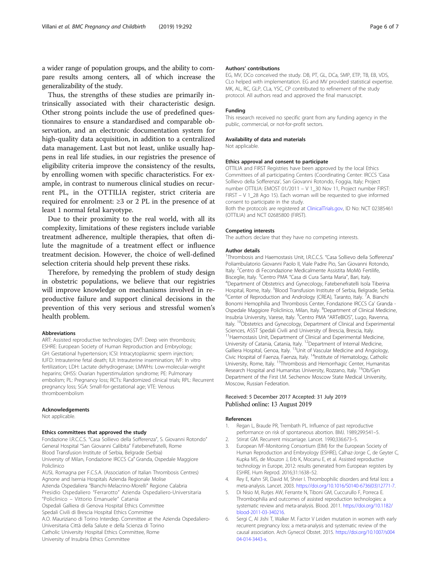<span id="page-5-0"></span>a wider range of population groups, and the ability to compare results among centers, all of which increase the generalizability of the study.

Thus, the strengths of these studies are primarily intrinsically associated with their characteristic design. Other strong points include the use of predefined questionnaires to ensure a standardised and comparable observation, and an electronic documentation system for high-quality data acquisition, in addition to a centralized data management. Last but not least, unlike usually happens in real life studies, in our registries the presence of eligibility criteria improve the consistency of the results, by enrolling women with specific characteristics. For example, in contrast to numerous clinical studies on recurrent PL, in the OTTILIA register, strict criteria are required for enrolment: ≥3 or 2 PL in the presence of at least 1 normal fetal karyotype.

Due to their proximity to the real world, with all its complexity, limitations of these registers include variable treatment adherence, multiple therapies, that often dilute the magnitude of a treatment effect or influence treatment decision. However, the choice of well-defined selection criteria should help prevent these risks.

Therefore, by remedying the problem of study design in obstetric populations, we believe that our registries will improve knowledge on mechanisms involved in reproductive failure and support clinical decisions in the prevention of this very serious and stressful women's health problem.

### Abbreviations

ART: Assisted reproductive technologies; DVT: Deep vein thrombosis; ESHRE: European Society of Human Reproduction and Embryology; GH: Gestational hypertension; ICSI: Intracytoplasmic sperm injection; IUFD: Intrauterine fetal death; IUI: Intrauterine insemination; IVF: In vitro fertilization; LDH: Lactate dehydrogenase; LMWHs: Low-molecular-weight heparins; OHSS: Ovarian hyperstimulation syndrome; PE: Pulmonary embolism; PL: Pregnancy loss; RCTs: Randomized clinical trials; RPL: Recurrent pregnancy loss; SGA: Small-for-gestational age; VTE: Venous thromboembolism

#### Acknowledgements

Not applicable.

#### Ethics committees that approved the study

Fondazione I.R.C.C.S. "Casa Sollievo della Sofferenza", S. Giovanni Rotondo" General Hospital "San Giovanni Calibita" Fatebenefratelli, Rome Blood Transfusion Institute of Serbia, Belgrade (Serbia) University of Milan, Fondazione IRCCS Ca′ Granda, Ospedale Maggiore Policlinico AUSL Romagna per F.C.S.A. (Association of Italian Thrombosis Centres) Agnone and Isernia Hospitals Azienda Regionale Molise Azienda Ospedaliera "Bianchi-Melacrino-Morelli" Regione Calabria Presidio Ospedaliero "Ferrarotto" Azienda Ospedaliero-Universitaria "Policlinico – Vittorio Emanuele" Catania Ospedali Galliera di Genova Hospital Ethics Committee Spedali Civili di Brescia Hospital Ethics Committee A.O. Mauriziano di Torino Interdep. Committee at the Azienda Ospedaliero-Universitaria Città della Salute e della Scienza di Torino Catholic University Hospital Ethics Committee, Rome University of Insubria Ethics Committee

#### Authors' contributions

EG, MV, DCo conceived the study. DB, PT, GL, DCa, SMP, ETP, TB, EB, VDS, CLo helped with implementation. EG and MV provided statistical expertise. MK, AL, RC, GLP, CLa, YSC, CP contributed to refinement of the study protocol. All authors read and approved the final manuscript.

#### Funding

This research received no specific grant from any funding agency in the public, commercial, or not-for-profit sectors.

#### Availability of data and materials

Not applicable.

#### Ethics approval and consent to participate

OTTILIA and FIRST Registries have been approved by the local Ethics Committees of all participating Centers (Coordinating Center: IRCCS 'Casa Sollievo della Sofferenza', San Giovanni Rotondo, Foggia, Italy; Project number OTTILIA: EMOST 01/2011 – V 1\_30 Nov 11, Project number FIRST: FIRST – V 1\_28 Ago 15). Each woman will be requested to give informed consent to participate in the study.

Both the protocols are registered at [ClinicalTrials.gov](http://clinicaltrials.gov), ID No: NCT 02385461 (OTTILIA) and NCT 02685800 (FIRST).

#### Competing interests

The authors declare that they have no competing interests.

#### Author details

<sup>1</sup>Thrombosis and Haemostasis Unit, I.R.C.C.S. "Casa Sollievo della Sofferenza" Poliambulatorio Giovanni Paolo II, Viale Padre Pio, San Giovanni Rotondo, Italy. <sup>2</sup>Centro di Fecondazione Medicalmente Assistita MoMò Fertilife, Bisceglie, Italy. <sup>3</sup>Centro PMA "Casa di Cura Santa Maria", Bari, Italy.<br><sup>4</sup>Department of Obstatrics and Gynosology. Eatoboogfratelli Isola <sup>4</sup>Department of Obstetrics and Gynecology, Fatebenefratelli Isola Tiberina Hospital, Rome, Italy. <sup>5</sup> Blood Transfusion Institute of Serbia, Belgrade, Serbia.<br><sup>6</sup> Conter of Penroduction and Andrelocy (CPEA). Tarante, Italy. <sup>7</sup> A. Bianchi. Center of Reproduction and Andrology (CREA), Taranto, Italy. <sup>7</sup>A. Bianchi Bonomi Hemophilia and Thrombosis Center, Fondazione IRCCS Ca' Granda - Ospedale Maggiore Policlinico, Milan, Italy. <sup>8</sup>Department of Clinical Medicine, Insubria University, Varese, Italy. <sup>9</sup>Centro PMA "ARTeBIOS", Lugo, Ravenna Italy. <sup>10</sup>Obstetrics and Gynecology, Department of Clinical and Experimental Sciences, ASST Spedali Civili and University of Brescia, Brescia, Italy. <sup>11</sup> Haemostasis Unit, Department of Clinical and Experimental Medicine, University of Catania, Catania, Italy. 12Department of Internal Medicine, Galliera Hospital, Genoa, Italy. 13Unit of Vascular Medicine and Angiology, Civic Hospital of Faenza, Faenza, Italy. 14Institute of Hematology, Catholic University, Rome, Italy. <sup>15</sup>Thrombosis and Hemorrhagic Center, Humanitas Research Hospital and Humanitas University, Rozzano, Italy. <sup>16</sup>Ob/Gyn Department of the First I.M. Sechenov Moscow State Medical University, Moscow, Russian Federation.

### Received: 5 December 2017 Accepted: 31 July 2019 Published online: 13 August 2019

#### References

- 1. Regan L, Braude PR, Trembath PL. Influence of past reproductive performance on risk of spontaneous abortion. BMJ. 1989;299:541–5.
- 2. Stirrat GM. Recurrent miscarriage. Lancet. 1990;336:673–5.
- 3. European IVF-Monitoring Consortium (EIM) for the European Society of Human Reproduction and Embryology (ESHRE), Calhaz-Jorge C, de Geyter C, Kupka MS, de Mouzon J, Erb K, Mocanu E, et al. Assisted reproductive technology in Europe, 2012: results generated from European registers by ESHRE. Hum Reprod. 2016;31:1638–52.
- Rey E, Kahn SR, David M, Shrier I. Thrombophilic disorders and fetal loss: a meta-analysis. Lancet. 2003. [https://doi.org/10.1016/S0140-6736\(03\)12771-7](https://doi.org/10.1016/S0140-6736(03)12771-7).
- 5. Di Nisio M, Rutjes AW, Ferrante N, Tiboni GM, Cuccurullo F, Porreca E. Thrombophilia and outcomes of assisted reproduction technologies: a systematic review and meta-analysis. Blood. 2011. [https://doi.org/10.1182/](https://doi.org/10.1182/blood-2011-03-340216) [blood-2011-03-340216.](https://doi.org/10.1182/blood-2011-03-340216)
- 6. Sergi C, Al Jishi T, Walker M. Factor V Leiden mutation in women with early recurrent pregnancy loss: a meta-analysis and systematic review of the causal association. Arch Gynecol Obstet. 2015. [https://doi.org/10.1007/s004](https://doi.org/10.1007/s00404-014-3443-x) [04-014-3443-x.](https://doi.org/10.1007/s00404-014-3443-x)